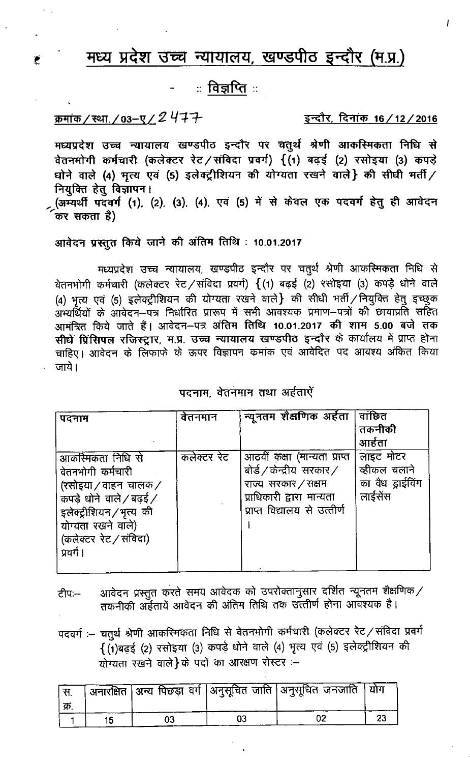# मध्य प्रदेश उच्च न्यायालय, खण्डपीठ इन्दौर (म.प्र.)

ः विज्ञप्तिः

# क्रमांक/स्था./03-ए/2477

£

इन्दौर, दिनांक 16/12/2016

Ĭ

मध्यप्रदेश उच्च न्यायालय खण्डपीठ इन्दौर पर चतुर्थ श्रेणी आकस्मिकता निधि से वेतनमोगी कर्मचारी (कलेक्टर रेट/संविदा प्रवर्ग) {(1) बढ़ई (2) रसोइया (3) कपड़े धोने वाले (4) मृत्य एवं (5) इलेक्ट्रीशियन की योग्यता रखने वाले} की सीधी मर्ती / नियुक्ति हेतु विज्ञापन। (अम्यर्थी पदवर्ग (1), (2), (3), (4), एवं (5) में से केवल एक पदवर्ग हेतु ही आवेदन कर सकता है)

आवेदन प्रस्तुत किये जाने की अंतिम तिथि: 10.01.2017

मध्यप्रदेश उच्च न्यायालय, खण्डपीठ इन्दौर पर चतुर्थ श्रेणी आकस्मिकता निधि से वेतनभोगी कर्मचारी (कलेक्टर रेट / संविदा प्रवर्ग) { (1) बढ़ई (2) रसोइया (3) कपड़े धोने वाले (4) भृत्य एवं (5) इलेक्ट्रीशियन की योग्यता रखने वाले} की सीधी भर्ती / नियुक्ति हेतु इच्छुक ...<br>अभ्यर्थियों के आवेदन—पत्र निर्धारित प्रारूप में सभी आवश्यक प्रमाण—पत्रों की छायाप्रति सहित आमंत्रित किये जाते हैं। आवेदन–पत्र अंतिम तिथि 10.01.2017 की शाम 5.00 बजे तक सीघे प्रिंसिपल रजिस्ट्रार, म.प्र. उच्च न्यायालय खण्डपीठ इन्दौर के कार्यालय में प्राप्त होना चाहिए। आवेदन के लिफाफे के ऊपर विज्ञापन कमांक एवं आवेदित पद आवश्य अंकित किया जाये।

## पदनाम, वेतनमान तथा अर्हताऐं

| पदनाम                   | वेतनमान     | न्यूनतम शैक्षणिक अर्हता      | वाछित            |
|-------------------------|-------------|------------------------------|------------------|
|                         |             |                              | तकनीकी           |
|                         |             |                              | आर्हता           |
| आकस्मिकता निधि से       | कलेक्टर रेट | आठवीं कक्षा (मान्यता प्राप्त | लाइट मोटर        |
| वेतनभोगी कर्मचारी       |             | बोर्ड / केन्द्रीय सरकार /    | व्हीकल चलाने     |
| (रसोइया / वाहन) चालक /  |             | राज्य सरकार / सक्षम          | का वैध ड्राईविंग |
| कपडे धोने वाले / बढ़ई / |             | प्राधिकारी द्वारा मान्यता    | लाईसेंस          |
| इलेक्ट्रीशियन/भृत्य की  |             | प्राप्त विद्यालय से उत्तीर्ण |                  |
| योग्यता रखने वाले)      |             |                              |                  |
| (कलेक्टर रेट / संविदा)  |             |                              |                  |
| प्रवर्ग ।               |             |                              |                  |
|                         |             |                              |                  |

- आवेदन प्रस्तुत करते समय आवेदक को उपरोक्तानुसार दर्शित न्यूनतम शैक्षणिक/ ਟੀਧ:--तकनीकी अर्हतायें आवेदन की अंतिम तिथि तक उत्तीर्ण होना आवेश्यक है।
- पदवर्गः चतुर्थं श्रेणी आकरिमकता निधि से वेतनभोगी कर्मचारी (कलेक्टर रेट / संविदा प्रवर्ग  $\overline{\{(\mathfrak{1})}$ बढ़ई (2) रसोइया (3) कपड़े धोने वाले (4) भृत्य एवं (5) इलेक्ट्रीशियन की योग्यता रखने वाले}के पदों का आरक्षण रोस्टर :-

|  |  | ' अनारक्षित  अन्य पिछड़ा वर्ग  अनुसूचित जाति  अनुसूचित जनजाति  योग |  |
|--|--|--------------------------------------------------------------------|--|
|  |  |                                                                    |  |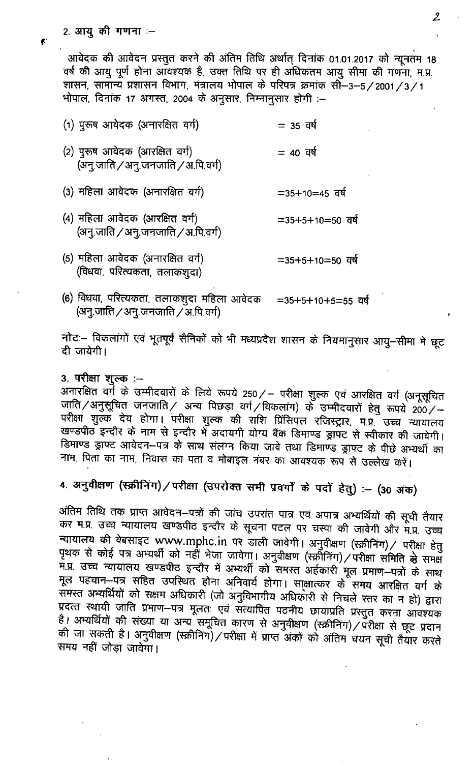आवेदक की आवेदन प्रस्तुत करने की अंतिम तिथि अर्थात् दिनांक 01.01.2017 को न्यूनतम 18 वर्ष की आयु पूर्ण होना आँवश्यक है, उक्त तिथि पर ही अधिकतम आयु सीमा की गणना, म.प्र. शासन, सामान्य प्रशासन विभाग, मंत्रालय भोपाल के परिपत्र क्रमांक सौं-3-5/2001/3/1 भोपाल, दिनांक 17 अगस्त, 2004 के अनुसार, निम्नानुसार होगी :-

| (1) पुरूष आवेदक (अनारक्षित वर्ग)                                      | $= 35$ वर्ष         |
|-----------------------------------------------------------------------|---------------------|
| (2) पुरूष आवेदक (आरक्षित वर्ग)<br>(अनु.जाति / अनु.जनजाति / अ.पि.वर्ग) | $= 40$ वर्ष         |
| (3) महिला आवेदक (अनारक्षित वर्ग)                                      | $=35+10=45$ and     |
| (4) महिला आवेदक (आरक्षित वर्ग)<br>(अनु.जाति / अनु.जनजाति / अ.पि.वर्ग) | $=$ 35+5+10=50 वर्ष |
| (5) महिला आवेदक (अनारक्षित वर्ग)                                      | $=35+5+10=50$ and   |

(6) विधवा, परित्यकता, तलाकशुदा महिला आवेदक  $=35+5+10+5=55$  वर्ष (अनु.जाति / अनु.जनजाति / अ.पि.वर्ग)

नोटः - विकलांगों एवं भूतपूर्व सैनिकों को भी मध्यप्रदेश शासन के नियमानुसार आयु-सीमा में छूट दी जायेगी।

## 3. परीक्षा शुल्क :-

(विधवा, परित्यकता, तलाकशुदा)

अनारक्षित वर्गे के उम्मीदवारों के लिये रूपये 250/ – परीक्षा शुल्क एवं आरक्षित वर्ग (अनूसूचित जाति/अनुसूचित जनजाति/ अन्य पिछड़ा वर्ग/विकलांग) के उम्मीदवारों हेतु रूपये 200/-परीक्षा शुल्क देय होगा। परीक्षा शुल्क की राशि प्रिंसिपल रजिस्ट्रार, म.प्र. उच्च न्यायालय खण्डपीठ इन्दौर के नाम से इन्दौर में अदायगी योग्य बैंक डिमाण्ड ड्रापट से स्वीकार की जावेगी। डिमाण्ड ड्राफ्ट आवेदन-पत्र के साथ संलग्न किया जावे तथा डिमाण्ड ड्राफ्ट के पीछे अभ्यर्थी का नाम, पिता का नाम, निवास का पता व मोबाइल नंबर का आवश्यक रूप से उल्लेख करें।

4. अनुवीक्षण (स्क्रीनिंग)/परीक्षा (उपरोक्त सभी प्रवर्गों के पदों हेतु) :- (30 अंक)

अंतिम तिथि तक प्राप्त आवेदन–पत्रों की जांच उपरांत पात्र एवं अपात्र अभ्यर्थियों की सूची तैयार कर म.प्र. उच्च न्यायालय खण्डपीठ इन्दौर के सूचना पटल पर चस्पा की जावेगी और म.प्र. उच्च न्यायालय की वेबसाइट www.mphc.in पर डाली जावेगी। अनुवीक्षण (स्क्रीनिंग)/ परीक्षा हेतु पृथक से कोई पत्र अभ्यर्थी को नहीं भेजा जावेगा। अनुवीक्षण (स्क्रीनिंग)/परीक्षा समिति से समक्ष )<br>म.प्र. उच्च न्यायालय खण्डपीठ इन्दौर में अभ्यर्थी को समस्त अर्हकारी मूल प्रमाण–पत्रों के साथ मूल पहचान-पत्र सहित उपस्थित होना अनिवार्य होगा। साक्षात्कर के समय आरक्षित वर्ग के समस्त अभ्यर्थियों को सक्षम अधिकारी (जो अनुविभागीय अधिकारी से निचले स्तर का न हो) द्वारा प्रदत्त्त स्थायी जाति प्रमाण-पत्र मूलतः एवं संत्यापित पठनीय छायाप्रति प्रस्तुत करना आवश्यक है। अभ्यर्थियों की संख्या या अन्य समूचित कारण से अनुवीक्षण (स्क्रीनिंग)/परीक्षा से छूट प्रदान की जा सकती है। अनुवीक्षण (स्क्रीनिंग)/परीक्षा में प्राप्त अंकों को अंतिम चयन सूची तैयार करते समय नहीं जोड़ा जावेगा।

 $\mathbf{f}$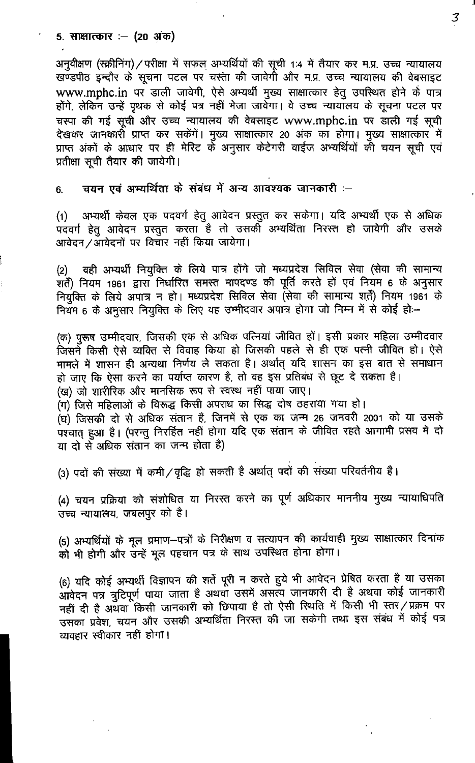### 5. साक्षात्कार :– (20 अंक)

अनुवीक्षण (स्क्रीनिंग) / परीक्षा में सफल अभ्यर्थियों की सूची 1:4 में तैयार कर म.प्र. उच्च न्यायालय खण्डपीठ इन्दौर के सूचना पटल पर चस्ता की जावेगी और म.प्र. उच्च न्यायालय की वेबसाइट www.mphc.in पर डाली जावेगी, ऐसे अभ्यर्थी मुख्य साक्षात्कार हेतु उपस्थित होने के पात्र होंगे, लेकिन उन्हें पृथक से कोई पत्र नहीं भेजा जावेगा। वे उच्च न्यायॉलय के सूचना पटल पर चस्पा की गई सूची और उच्च न्यायालय की वेबसाइट www.mphc.in पर डाली गई सूची देखकर जानकारों प्राप्त कर सकेंगें। मुख्य साक्षात्कार 20 अंक का होगा। मुख्य साक्षात्कार में प्राप्त अंकों के आधार पर ही मेरिट के अनुसार केटेगरी वाईज अभ्यर्थियों की चयन सूची एवं प्रतीक्षा सूची तैयार की जायेगी।

चयन एवं अभ्यर्थिता के संबंध में अन्य आवश्यक जानकारी :--6.

अभ्यर्थी केवल एक पदवर्ग हेतू आवेदन प्रस्तूत कर सकेगा। यदि अभ्यर्थी एक से अधिक  $(1)$ ्<br>पदवर्ग हेतु आवेदन प्रस्तुत करता है तो उसकी अभ्यर्थिता निरस्त हो जावेगी और उसके आवेदन /आवेदनों पर विचार नहीं किया जायेगा।

वही अभ्यर्थी नियुक्ति के लिये पात्र होंगे जो मध्यप्रदेश सिविल सेवा (सेवा की सामान्य  $(2)$ रातें) नियम 1961 द्वारा निर्धारित समस्त मापदण्ड की पूर्ति करते हों एवं नियम 6 के अनुसार नियुक्ति के लिये अपात्र न हो। मध्यप्रदेश सिविल सेवा (सेवा की सामान्य शर्ते) नियम 1961 के नियम 6 के अनुसार नियुक्ति के लिए वह उम्मीदवार अपात्र होगा जो निम्न में से कोई हो:-

(क) पुरूष उम्मीदवार, जिसकी एक से अधिक पत्नियां जीवित हों। इसी प्रकार महिला उम्मीदवार जिसने किसी ऐसे व्यक्ति से विवाह किया हो जिसकी पहले से ही एक पत्नी जीवित हो। ऐसे मामले में शासन ही अन्यथा निर्णय ले सकता है। अर्थात् यदि शासन का इस बात से समाधान हो जाए कि ऐसा करने का पर्याप्त कारण है, तो वह इस प्रतिबंध से छूट दे सकता है। (ख) जो शारीरिक और मानसिक रूप से स्वस्थ नहीं पाया जाए।

(ग) जिसे महिलाओं के विरूद्ध किसी अपराध का सिद्ध दोष ठहराया गया हो।

(घ) जिसकी दो से अधिक संतान हैं, जिनमें से एक का जन्म 26 जनवरी 2001 को या उसके पश्चात् हुआ है। (परन्तु निरर्हित नहीं होगा यदि एक संतान के जीवित रहते आगामी प्रसव में दो या दो से अधिक संतान का जन्म होता है)

(3) पदों की संख्या में कमी / वृद्धि हो सकती है अर्थात् पदों की संख्या परिवर्तनीय है।

(4) चयन प्रक्रिया को संशोधित या निरस्त करने का पूर्ण अधिकार माननीय मुख्य न्यायाधिपति उच्च न्यायालय, जबलपुर को है।

(5) अभ्यर्थियों के मूल प्रमाण-पत्रों के निरीक्षण व सत्यापन की कार्यवाही मुख्य साक्षात्कार दिनांक को भी होगी और उन्हें मूल पहचान पत्र के साथ उपस्थित होना होगा।

(6) यदि कोई अभ्यर्थी विज्ञापन की शर्ते पूरी न करते हुये भी आवेदन प्रेषित करता है या उसका आवेदन पत्र त्रुटिपूर्ण पाया जाता है अथवा उसमें असत्य जानकारी दी है अथवा कोई जानकारी नहीं दी है अथवा किसी जानकारी को छिपाया है तो ऐसी स्थिति में किसी भी स्तर/प्रक्रम पर उसका प्रवेश, चयन और उसकी अभ्यर्थिता निरस्त की जा सकेगी तथा इस संबंध में कोई पत्र व्यवहार स्वीकार नहीं होगा।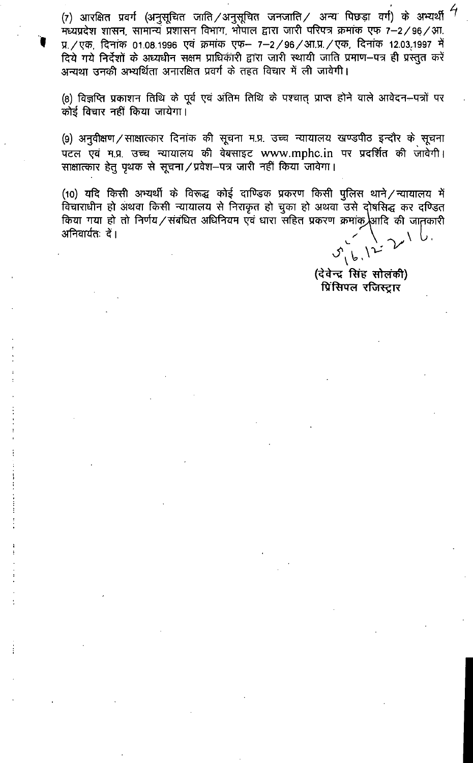(7) आरक्षित प्रवर्ग (अनुसूचित जाति /अनुसूचित जनजाति / अन्य पिछड़ा वर्ग) के अभ्यर्थी मध्यप्रदेश शासन, सामान्ये प्रशासन विभाग, भोपाल द्वारा जारी परिपत्र क्रमांक एफ 7-2/96/आ. प्र. / एक, दिनांक 01.08.1996 एवं क्रमांक एफ- 7-2/96/आ.प्र. / एक, दिनांक 12.03.1997 में दिये गये निर्देशों के अध्यधीन सक्षम प्राधिकारी द्वारा जारी स्थायी जाति प्रमाण-पत्र ही प्रस्तुत करें अन्यथा उनकी अभ्यर्थिता अनारक्षित प्रवर्ग के तहत विचार में ली जावेगी।

(8) विज्ञप्ति प्रकाशन तिथि के पूर्व एवं अंतिम तिथि के पश्चात् प्राप्त होने वाले आवेदन–पत्रों पर कोई विचार नहीं किया जायेगा।

(9) अनुवीक्षण / साक्षात्कार दिनांक की सूचना म.प्र. उच्च न्यायालय खण्डपीठ इन्दौर के सूचना पटल एवं म.प्र. उच्च न्यायालय की वेबसाइट www.mphc.in पर प्रदर्शित की जावेगी। साक्षात्कार हेतु पृथक से सूचना / प्रवेश-पत्र जारी नहीं किया जावेगा।

(10) यदि किसी अभ्यर्थी के विरूद्ध कोई दाण्डिक प्रकरण किसी पुलिस थाने/न्यायालय में विचाराधीन हो अथवा किसी न्यायालय से निराकृत हो चुका हो अथवा उसे दोषसिद्ध कर दण्डित किया गया हो तो निर्णय / संबंधित अधिनियम एवं धारा सहित प्रकरण क्रमांक आदि की जातकारी अनिवार्यतः दें।

 $16.12$ 

(देवेन्द्र सिंह सोलंकी) प्रिंसिपल रजिस्ट्रार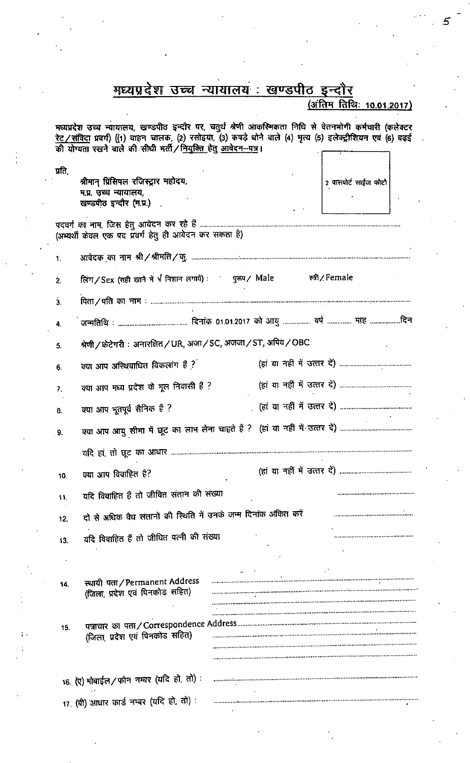|        |                                                                    | मध्यप्रदेश उच्च न्यायालय : खण्डपीठ इन्दौर                                                                                                                                                                                 |
|--------|--------------------------------------------------------------------|---------------------------------------------------------------------------------------------------------------------------------------------------------------------------------------------------------------------------|
|        |                                                                    | <u>(अंतिम तिथि: 10.01.2017)</u>                                                                                                                                                                                           |
|        | की योग्यता रखने वाले की सीधी मर्ती / नियुक्ति हेतु आवेदन-पत्र।     | मध्यप्रदेश उच्च न्यायालय, खण्डपीठ इन्दौर पर, चतुर्थ श्रेणी आकस्मिकता निधि से वेतनमोगी कर्मचारी (कलेक्टर<br>रेट / संविदा प्रवर्ग) [(1) वाहन चालक, (2) रसोइया, (3) कपड़े धोने वाले (4) मृत्य (5) इलेक्ट्रीशियन एवं (6) बढ़ई |
| प्रति, |                                                                    |                                                                                                                                                                                                                           |
|        | श्रीमान् प्रिंसिपल रजिस्ट्रार महोदय.<br>म.प्र. उच्च न्यायालय,      | 2 पासपोर्ट साईज फोटो                                                                                                                                                                                                      |
|        | खण्डपीठ इन्दौर (म.प्र.)                                            |                                                                                                                                                                                                                           |
|        |                                                                    |                                                                                                                                                                                                                           |
|        | (अभ्यर्थी केवल एक पद प्रवर्ग हेतु ही आवेदन कर सकता है)             |                                                                                                                                                                                                                           |
| 1.     |                                                                    |                                                                                                                                                                                                                           |
| 2.     | लिंग/Sex (सही खाने में $\sqrt{}$ निशान लगाये): पुरुष/ Male         | ਦਸ਼ੀ / Female                                                                                                                                                                                                             |
| ż.     |                                                                    |                                                                                                                                                                                                                           |
| 4.     |                                                                    |                                                                                                                                                                                                                           |
| 5.     | श्रेणी / केटेगरी : अनारक्षित / UR, अजा / SC, अजजा / ST, अपिव / OBC |                                                                                                                                                                                                                           |
| 6.     | क्या आप अस्थिवाधित विकलांग हैं ?                                   |                                                                                                                                                                                                                           |
| 7.     | क्या आप मध्य प्रदेश के मूल निवासी हैं ?                            |                                                                                                                                                                                                                           |
| 8.     | क्या आप भूतपूर्व सैनिक हैं ?                                       |                                                                                                                                                                                                                           |
| 9.     |                                                                    |                                                                                                                                                                                                                           |
|        |                                                                    |                                                                                                                                                                                                                           |
| 10.    | क्या आप विवाहित है?                                                |                                                                                                                                                                                                                           |
| 11.    | यदि विवाहित हैं तो जीवित संतान की संख्या                           |                                                                                                                                                                                                                           |
| 12.    | दो से अधिक वैध संतानों की स्थिति में उनके जन्म दिनांक अंकित करें   |                                                                                                                                                                                                                           |
| 13.    | यदि विवाहित हैं तो जीयित पत्नी की संख्या                           |                                                                                                                                                                                                                           |
|        |                                                                    |                                                                                                                                                                                                                           |
| 14.    | स्थायी पता/Permanent Address                                       |                                                                                                                                                                                                                           |
|        | (जिला, प्रदेश एवं पिनकोड सहित)                                     |                                                                                                                                                                                                                           |
|        |                                                                    |                                                                                                                                                                                                                           |
| 15.    | (जिला, प्रदेश एवं पिनकोड सहित)                                     |                                                                                                                                                                                                                           |
|        |                                                                    |                                                                                                                                                                                                                           |
|        |                                                                    |                                                                                                                                                                                                                           |
|        | 16. (ए) मोबाईल / फोन नम्बर (यदि हो, तो):                           |                                                                                                                                                                                                                           |
|        | 17. (बी) आधार कार्ड नम्बर (यदि हो, तो):                            |                                                                                                                                                                                                                           |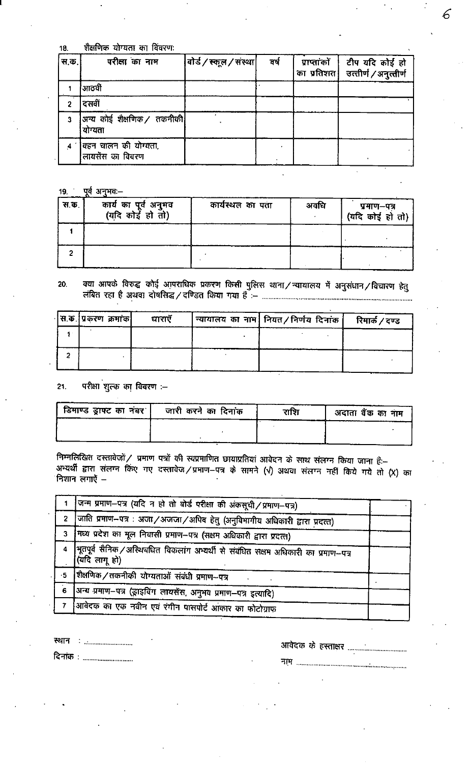शैक्षणिक योग्यता का विंवरण: 18.

| स.क. | परीक्षा का नाम                            | वोर्ड / स्कूल / संस्था | वर्ष | प्राप्तांकों   टीप यदि कोई हो<br>का प्रतिशत कित्तीर्ण / अनुत्तीर्ण |
|------|-------------------------------------------|------------------------|------|--------------------------------------------------------------------|
|      | आठवीं                                     |                        |      |                                                                    |
|      | दसवीं                                     |                        |      |                                                                    |
| 3    | अन्य कोई शैक्षणिक / तकनीकी <br>योग्यता    |                        |      |                                                                    |
|      | विहन चालन की योग्यता,<br>लायसेंस का विवरण |                        |      |                                                                    |

6

19. पूर्व अनुभव:-

| स.क. | कार्य का पूर्व अनुभव<br>(यदि कोई हो तो) | कार्यस्थल का पता | अवधि | प्रमाण–पत्र<br>(यदि कोई हो तो) |
|------|-----------------------------------------|------------------|------|--------------------------------|
|      |                                         |                  |      |                                |
|      |                                         |                  |      |                                |

#### क्या आपके विरुद्ध कोई आपराधिक प्रकरण किसी पुलिस थाना / न्यायालय में अनुसंधान / विचारण हेतु 20.

| स.क. प्रकरण क्रमांक | घाराएँ | न्यायालय)का नाम  नियत/निर्णय दिनांक | रिमार्क / दण्ड |
|---------------------|--------|-------------------------------------|----------------|
|                     |        |                                     |                |
|                     |        |                                     |                |
|                     |        |                                     |                |

परीक्षा शुल्क का विवरण :- $21.$ 

| । डिमाण्ड ड्राफ्ट का नंबर <b>ं</b> । | जारी करने का दिनांक | राशि | अदाता बैंक का नाम |
|--------------------------------------|---------------------|------|-------------------|
|                                      |                     |      |                   |
|                                      |                     |      |                   |

निम्नलिखित दस्तावेजों / प्रमाण पत्रों की स्वप्रमाणित छायाप्रतियां आवेदन के साथ संलग्न किया जाना हैं:-अभ्यर्थी द्वारा संलग्न किए गए दस्तावेज/प्रमाण-पत्र के सामने (V) अथवा संलग्न नहीं किये गये तो (X) का निशान लगाएँ –

|      | जिन्म प्रमाण-पत्र (यदि न हो तो बोर्ड परीक्षा की अंकसूची / प्रमाण-पत्र)                              |  |
|------|-----------------------------------------------------------------------------------------------------|--|
|      | 2 जिति प्रमाण-पत्र : अजा/अजजा/अपिव हेतु (अनुविभागीय अधिकारी द्वारा प्रदत्त)                         |  |
|      | 3   मध्य प्रदेश का मूल निवासी प्रमाण-पत्र (सक्षम अधिकारी द्वारा प्रदत्त)                            |  |
| 4    | भूतपूर्व सैनिक /अस्थिबधित विकलांग अभ्यर्थी से संबंधित सक्षम अधिकारी का प्रमाण-पत्र<br>(यदि लागू हो) |  |
| $-5$ | शिक्षणिक/तकनीकी योग्यताओं संबंधी प्रमाण--पत्र                                                       |  |
| 6    | जिन्य प्रमाण-पत्र (ड्राइविंग लायसेंस, अनुभव प्रमाण-पत्र इत्यादि)                                    |  |
|      | आवेदक का एक नवीन एवं रंगीन पासपोर्ट आकार का फोटोग्राफ                                               |  |
|      |                                                                                                     |  |

दिनांक : ................................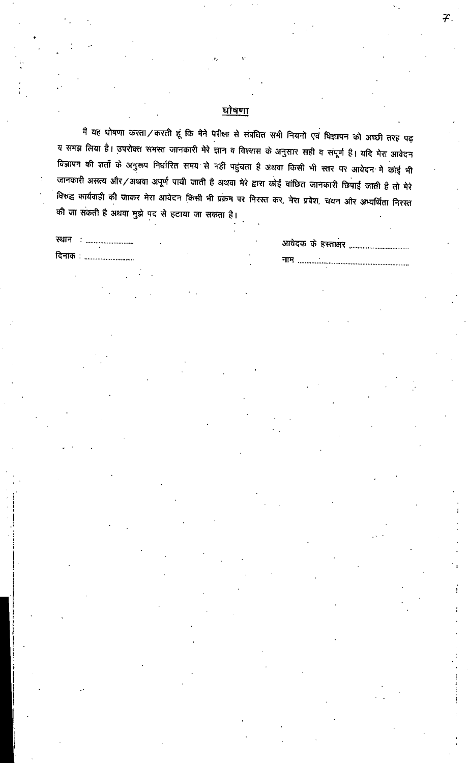## <u>घोषणा</u>

मैं यह घोषणा करता / करती हूं कि मैने परीक्षा से संबंधित सभी नियमों एवं विज्ञापन को अच्छी तरह पढ़ य समझ लिया है। उपरोक्त समस्त जानकारी मेरे ज्ञान व विश्वास के अनुसार सही व संपूर्ण है। यदि मेरा आवेदन विज्ञापन की शर्तों के अनुरूप निर्धारित समय से नहीं पहुंचता है अथवा किसी भी स्तर पर आवेदन में कोई भी जानकारी असत्य और / अथवा अपूर्ण पायी जाती है अथवा मेरे द्वारा कोई वांछित जानकारी छिपाई जाती है तो मेरे विरुद्ध कार्यवाही की जाकर मेरा आवेदन किसी भी प्रक्रम पर निरस्त कर, मेरा प्रवेश, चयन और अभ्यर्थिता निरस्त की जा सकती है अथवा मुझे पद से हटाया जा सकता है।

दिनांक**ः** ..............................